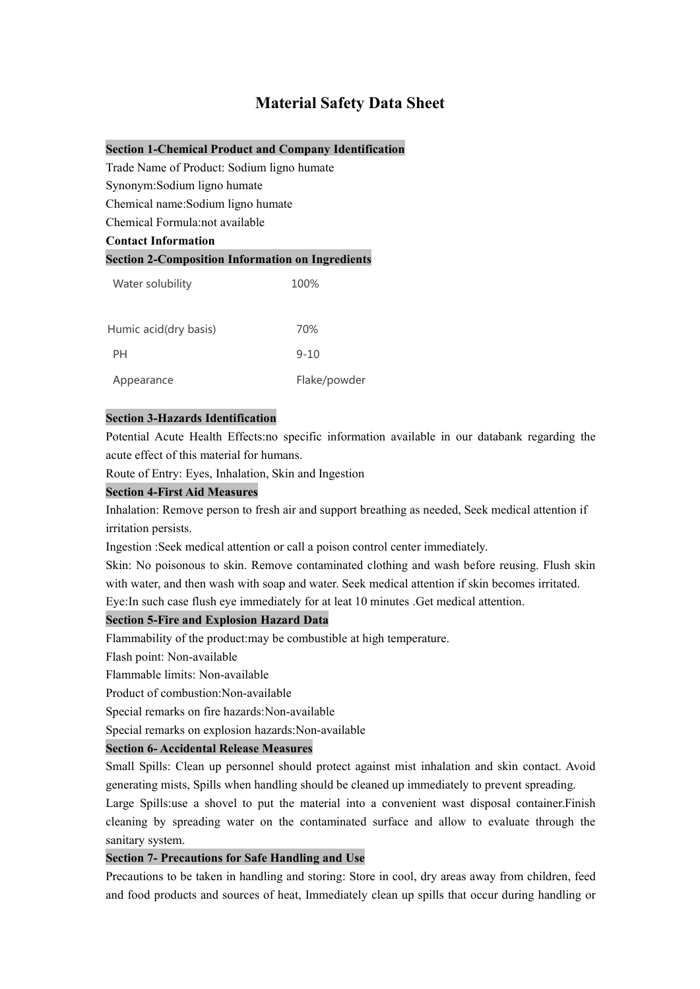# **Material Safety Data Sheet**

**Section 1-Chemical Product and Company Identification**

Trade Name of Product: Sodium ligno humate

Synonym:Sodium ligno humate

Chemical name:Sodium ligno humate

Chemical Formula:not available

# **Contact Information**

# **Section 2-Composition Information on Ingredients**

| Water solubility      | 100%         |  |
|-----------------------|--------------|--|
| Humic acid(dry basis) | 70%          |  |
| PH                    | $9 - 10$     |  |
| Appearance            | Flake/powder |  |

#### **Section 3-Hazards Identification**

Potential Acute Health Effects:no specific information available in our databank regarding the acute effect of this material for humans.

Route of Entry: Eyes, Inhalation, Skin and Ingestion

## **Section 4-First Aid Measures**

Inhalation: Remove person to fresh air and support breathing as needed, Seek medical attention if irritation persists.

Ingestion :Seek medical attention or call a poison control center immediately.

Skin: No poisonous to skin. Remove contaminated clothing and wash before reusing. Flush skin with water, and then wash with soap and water. Seek medical attention if skin becomes irritated.

Eye:In such case flush eye immediately for atleat 10 minutes .Get medical attention.

# **Section 5-Fire and Explosion Hazard Data**

Flammability of the product:may be combustible at high temperature.

Flash point: Non-available

Flammable limits: Non-available

Product of combustion:Non-available

Special remarks on fire hazards:Non-available

Special remarks on explosion hazards:Non-available

### **Section 6- Accidental Release Measures**

Small Spills: Clean up personnel should protect against mist inhalation and skin contact. Avoid generating mists, Spills when handling should be cleaned up immediately to prevent spreading.

Large Spills:use a shovel to put the material into a convenient wast disposal container. Finish cleaning by spreading water on the contaminated surface and allow to evaluate through the sanitary system.

# **Section 7- Precautions for Safe Handling and Use**

Precautions to be taken in handling and storing: Store in cool, dry areas away from children, feed and food products and sources of heat, Immediately clean up spills that occur during handling or